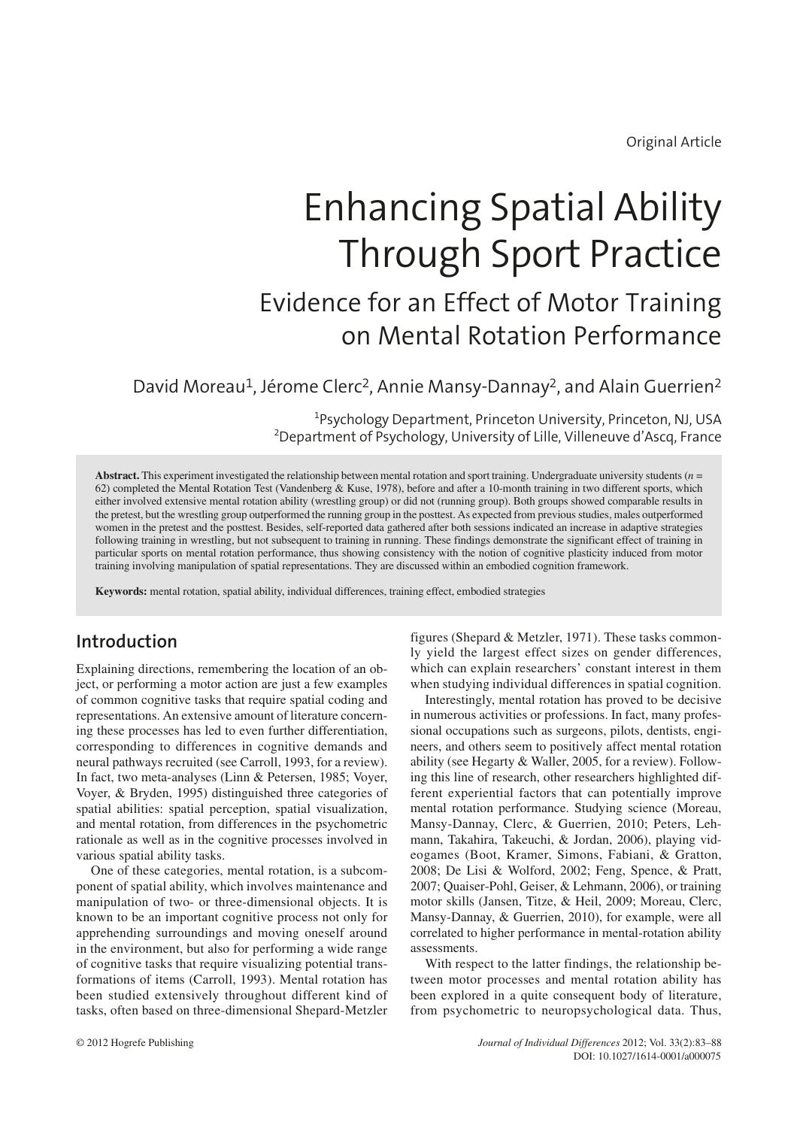Original Article

# Enhancing Spatial Ability Through Sport Practice Evidence for an Effect of Motor Training on Mental Rotation Performance

# David Moreau<sup>1</sup>, Jérome Clerc<sup>2</sup>, Annie Mansy-Dannay<sup>2</sup>, and Alain Guerrien<sup>2</sup>

<sup>1</sup>Psychology Department, Princeton University, Princeton, NJ, USA 2 Department of Psychology, University of Lille, Villeneuve d'Ascq, France

**Abstract.** This experiment investigated the relationship between mental rotation and sport training. Undergraduate university students (*n* = 62) completed the Mental Rotation Test (Vandenberg & Kuse, 1978), before and after a 10-month training in two different sports, which either involved extensive mental rotation ability (wrestling group) or did not (running group). Both groups showed comparable results in the pretest, but the wrestling group outperformed the running group in the posttest. As expected from previous studies, males outperformed women in the pretest and the posttest. Besides, self-reported data gathered after both sessions indicated an increase in adaptive strategies following training in wrestling, but not subsequent to training in running. These findings demonstrate the significant effect of training in particular sports on mental rotation performance, thus showing consistency with the notion of cognitive plasticity induced from motor training involving manipulation of spatial representations. They are discussed within an embodied cognition framework.

**Keywords:** mental rotation, spatial ability, individual differences, training effect, embodied strategies

# **Introduction**

Explaining directions, remembering the location of an object, or performing a motor action are just a few examples of common cognitive tasks that require spatial coding and representations. An extensive amount of literature concerning these processes has led to even further differentiation, corresponding to differences in cognitive demands and neural pathways recruited (see Carroll, 1993, for a review). In fact, two meta-analyses (Linn & Petersen, 1985; Voyer, Voyer, & Bryden, 1995) distinguished three categories of spatial abilities: spatial perception, spatial visualization, and mental rotation, from differences in the psychometric rationale as well as in the cognitive processes involved in various spatial ability tasks.

One of these categories, mental rotation, is a subcomponent of spatial ability, which involves maintenance and manipulation of two- or three-dimensional objects. It is known to be an important cognitive process not only for apprehending surroundings and moving oneself around in the environment, but also for performing a wide range of cognitive tasks that require visualizing potential transformations of items (Carroll, 1993). Mental rotation has been studied extensively throughout different kind of tasks, often based on three-dimensional Shepard-Metzler

figures (Shepard & Metzler, 1971). These tasks commonly yield the largest effect sizes on gender differences, which can explain researchers' constant interest in them when studying individual differences in spatial cognition.

Interestingly, mental rotation has proved to be decisive in numerous activities or professions. In fact, many professional occupations such as surgeons, pilots, dentists, engineers, and others seem to positively affect mental rotation ability (see Hegarty & Waller, 2005, for a review). Following this line of research, other researchers highlighted different experiential factors that can potentially improve mental rotation performance. Studying science (Moreau, Mansy-Dannay, Clerc, & Guerrien, 2010; Peters, Lehmann, Takahira, Takeuchi, & Jordan, 2006), playing videogames (Boot, Kramer, Simons, Fabiani, & Gratton, 2008; De Lisi & Wolford, 2002; Feng, Spence, & Pratt, 2007; Quaiser-Pohl, Geiser, & Lehmann, 2006), or training motor skills (Jansen, Titze, & Heil, 2009; Moreau, Clerc, Mansy-Dannay, & Guerrien, 2010), for example, were all correlated to higher performance in mental-rotation ability assessments.

With respect to the latter findings, the relationship between motor processes and mental rotation ability has been explored in a quite consequent body of literature, from psychometric to neuropsychological data. Thus,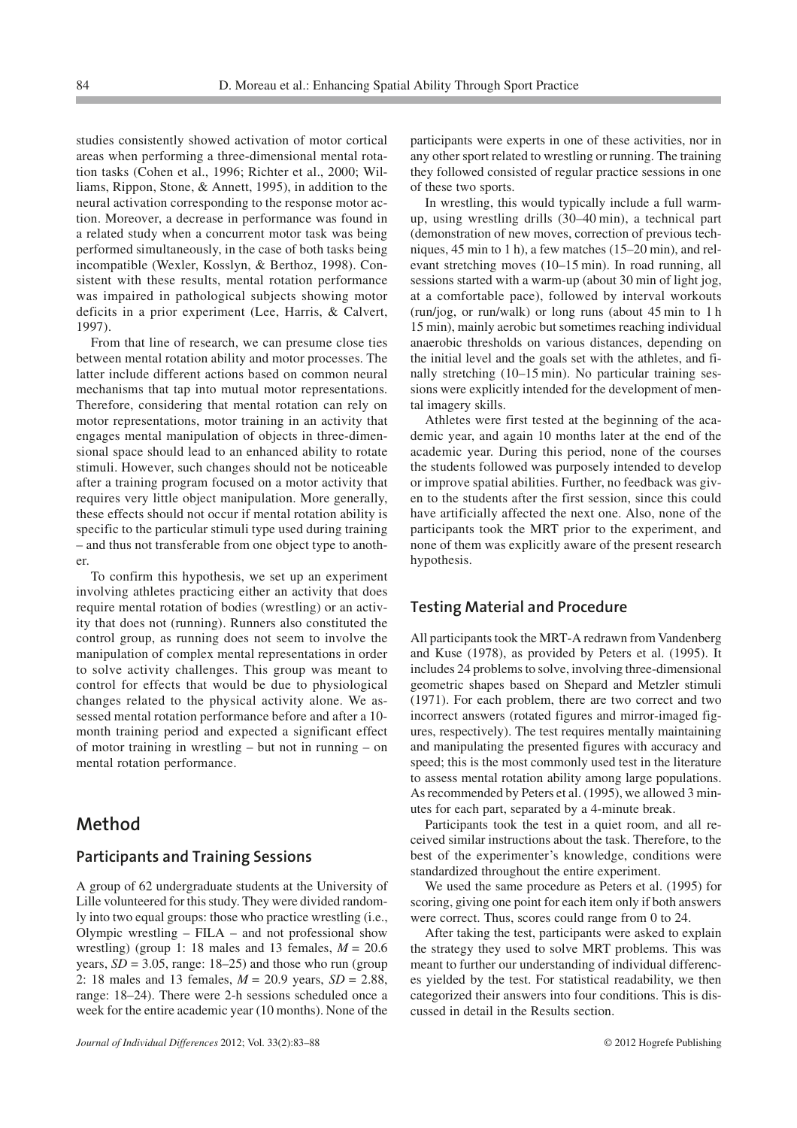studies consistently showed activation of motor cortical areas when performing a three-dimensional mental rotation tasks (Cohen et al., 1996; Richter et al., 2000; Williams, Rippon, Stone, & Annett, 1995), in addition to the neural activation corresponding to the response motor action. Moreover, a decrease in performance was found in a related study when a concurrent motor task was being performed simultaneously, in the case of both tasks being incompatible (Wexler, Kosslyn, & Berthoz, 1998). Consistent with these results, mental rotation performance was impaired in pathological subjects showing motor deficits in a prior experiment (Lee, Harris, & Calvert, 1997).

From that line of research, we can presume close ties between mental rotation ability and motor processes. The latter include different actions based on common neural mechanisms that tap into mutual motor representations. Therefore, considering that mental rotation can rely on motor representations, motor training in an activity that engages mental manipulation of objects in three-dimensional space should lead to an enhanced ability to rotate stimuli. However, such changes should not be noticeable after a training program focused on a motor activity that requires very little object manipulation. More generally, these effects should not occur if mental rotation ability is specific to the particular stimuli type used during training – and thus not transferable from one object type to another.

To confirm this hypothesis, we set up an experiment involving athletes practicing either an activity that does require mental rotation of bodies (wrestling) or an activity that does not (running). Runners also constituted the control group, as running does not seem to involve the manipulation of complex mental representations in order to solve activity challenges. This group was meant to control for effects that would be due to physiological changes related to the physical activity alone. We assessed mental rotation performance before and after a 10 month training period and expected a significant effect of motor training in wrestling – but not in running – on mental rotation performance.

## **Method**

#### **Participants and Training Sessions**

A group of 62 undergraduate students at the University of Lille volunteered for this study. They were divided randomly into two equal groups: those who practice wrestling (i.e., Olympic wrestling – FILA – and not professional show wrestling) (group 1: 18 males and 13 females,  $M = 20.6$ years,  $SD = 3.05$ , range:  $18-25$ ) and those who run (group 2: 18 males and 13 females, *M* = 20.9 years, *SD* = 2.88, range: 18–24). There were 2-h sessions scheduled once a week for the entire academic year (10 months). None of the

participants were experts in one of these activities, nor in any other sport related to wrestling or running. The training they followed consisted of regular practice sessions in one of these two sports.

In wrestling, this would typically include a full warmup, using wrestling drills (30–40 min), a technical part (demonstration of new moves, correction of previous techniques, 45 min to 1 h), a few matches (15–20 min), and relevant stretching moves (10–15 min). In road running, all sessions started with a warm-up (about 30 min of light jog, at a comfortable pace), followed by interval workouts (run/jog, or run/walk) or long runs (about 45 min to 1 h 15 min), mainly aerobic but sometimes reaching individual anaerobic thresholds on various distances, depending on the initial level and the goals set with the athletes, and finally stretching (10–15 min). No particular training sessions were explicitly intended for the development of mental imagery skills.

Athletes were first tested at the beginning of the academic year, and again 10 months later at the end of the academic year. During this period, none of the courses the students followed was purposely intended to develop or improve spatial abilities. Further, no feedback was given to the students after the first session, since this could have artificially affected the next one. Also, none of the participants took the MRT prior to the experiment, and none of them was explicitly aware of the present research hypothesis.

#### **Testing Material and Procedure**

All participants took the MRT-A redrawn from Vandenberg and Kuse (1978), as provided by Peters et al. (1995). It includes 24 problems to solve, involving three-dimensional geometric shapes based on Shepard and Metzler stimuli (1971). For each problem, there are two correct and two incorrect answers (rotated figures and mirror-imaged figures, respectively). The test requires mentally maintaining and manipulating the presented figures with accuracy and speed; this is the most commonly used test in the literature to assess mental rotation ability among large populations. As recommended by Peters et al. (1995), we allowed 3 minutes for each part, separated by a 4-minute break.

Participants took the test in a quiet room, and all received similar instructions about the task. Therefore, to the best of the experimenter's knowledge, conditions were standardized throughout the entire experiment.

We used the same procedure as Peters et al. (1995) for scoring, giving one point for each item only if both answers were correct. Thus, scores could range from 0 to 24.

After taking the test, participants were asked to explain the strategy they used to solve MRT problems. This was meant to further our understanding of individual differences yielded by the test. For statistical readability, we then categorized their answers into four conditions. This is discussed in detail in the Results section.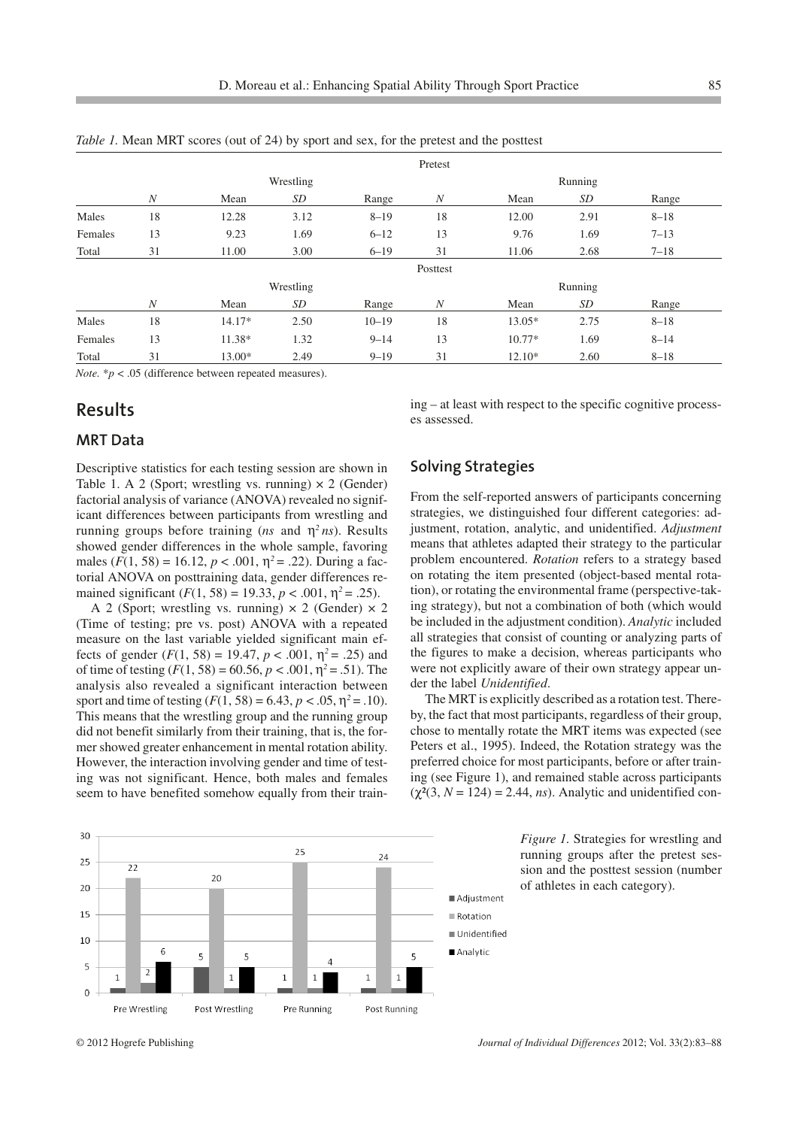|         |                  |           |      |           | Pretest          |          |      |          |  |
|---------|------------------|-----------|------|-----------|------------------|----------|------|----------|--|
|         |                  | Wrestling |      |           |                  | Running  |      |          |  |
|         | $\boldsymbol{N}$ | Mean      | SD   | Range     | $\boldsymbol{N}$ | Mean     | SD   | Range    |  |
| Males   | 18               | 12.28     | 3.12 | $8 - 19$  | 18               | 12.00    | 2.91 | $8 - 18$ |  |
| Females | 13               | 9.23      | 1.69 | $6 - 12$  | 13               | 9.76     | 1.69 | $7 - 13$ |  |
| Total   | 31               | 11.00     | 3.00 | $6 - 19$  | 31               | 11.06    | 2.68 | $7 - 18$ |  |
|         | Posttest         |           |      |           |                  |          |      |          |  |
|         |                  | Wrestling |      |           |                  | Running  |      |          |  |
|         | $\boldsymbol{N}$ | Mean      | SD   | Range     | $\boldsymbol{N}$ | Mean     | SD   | Range    |  |
| Males   | 18               | $14.17*$  | 2.50 | $10 - 19$ | 18               | $13.05*$ | 2.75 | $8 - 18$ |  |
| Females | 13               | 11.38*    | 1.32 | $9 - 14$  | 13               | $10.77*$ | 1.69 | $8 - 14$ |  |
| Total   | 31               | 13.00*    | 2.49 | $9 - 19$  | 31               | $12.10*$ | 2.60 | $8 - 18$ |  |

*Table 1.* Mean MRT scores (out of 24) by sport and sex, for the pretest and the posttest

*Note.* \**p* < .05 (difference between repeated measures).

## **Results**

#### **MRT Data**

Descriptive statistics for each testing session are shown in Table 1. A 2 (Sport; wrestling vs. running)  $\times$  2 (Gender) factorial analysis of variance (ANOVA) revealed no significant differences between participants from wrestling and running groups before training (*ns* and η*<sup>2</sup> ns*). Results showed gender differences in the whole sample, favoring males  $(F(1, 58) = 16.12, p < .001, \eta^2 = .22)$ . During a factorial ANOVA on posttraining data, gender differences remained significant  $(F(1, 58) = 19.33, p < .001, \eta^2 = .25)$ .

A 2 (Sport; wrestling vs. running)  $\times$  2 (Gender)  $\times$  2 (Time of testing; pre vs. post) ANOVA with a repeated measure on the last variable yielded significant main effects of gender  $(F(1, 58) = 19.47, p < .001, \eta^2 = .25)$  and of time of testing  $(F(1, 58) = 60.56, p < .001, \eta^2 = .51)$ . The analysis also revealed a significant interaction between sport and time of testing  $(F(1, 58) = 6.43, p < .05, \eta^2 = .10)$ . This means that the wrestling group and the running group did not benefit similarly from their training, that is, the former showed greater enhancement in mental rotation ability. However, the interaction involving gender and time of testing was not significant. Hence, both males and females seem to have benefited somehow equally from their training – at least with respect to the specific cognitive processes assessed.

#### **Solving Strategies**

From the self-reported answers of participants concerning strategies, we distinguished four different categories: adjustment, rotation, analytic, and unidentified. *Adjustment* means that athletes adapted their strategy to the particular problem encountered. *Rotation* refers to a strategy based on rotating the item presented (object-based mental rotation), or rotating the environmental frame (perspective-taking strategy), but not a combination of both (which would be included in the adjustment condition). *Analytic* included all strategies that consist of counting or analyzing parts of the figures to make a decision, whereas participants who were not explicitly aware of their own strategy appear under the label *Unidentified*.

The MRT is explicitly described as a rotation test. Thereby, the fact that most participants, regardless of their group, chose to mentally rotate the MRT items was expected (see Peters et al., 1995). Indeed, the Rotation strategy was the preferred choice for most participants, before or after training (see Figure 1), and remained stable across participants  $(\chi^2(3, N = 124) = 2.44, ns)$ . Analytic and unidentified con-



*Figure 1.* Strategies for wrestling and running groups after the pretest session and the posttest session (number of athletes in each category).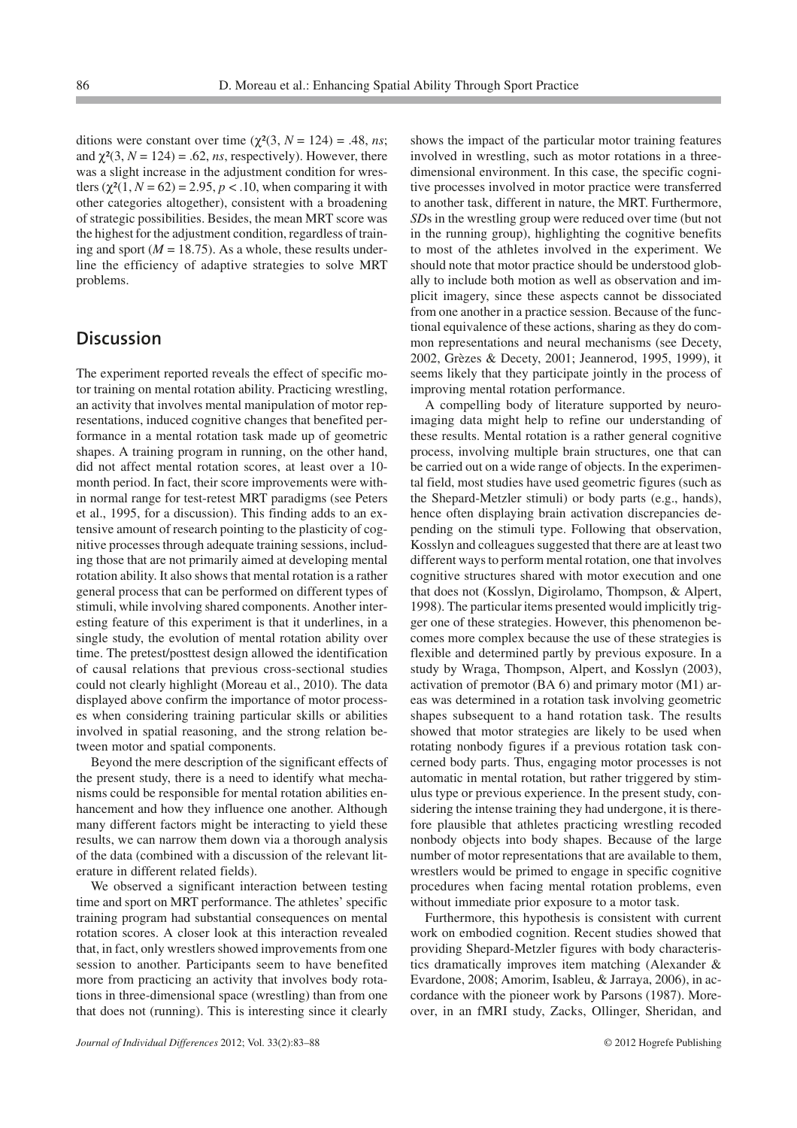ditions were constant over time  $(\chi^2(3, N = 124) = .48, ns;$ and  $\chi^2(3, N = 124) = .62$ , *ns*, respectively). However, there was a slight increase in the adjustment condition for wrestlers  $(\gamma^2(1, N = 62) = 2.95, p < .10$ , when comparing it with other categories altogether), consistent with a broadening of strategic possibilities. Besides, the mean MRT score was the highest for the adjustment condition, regardless of training and sport ( $M = 18.75$ ). As a whole, these results underline the efficiency of adaptive strategies to solve MRT problems.

## **Discussion**

The experiment reported reveals the effect of specific motor training on mental rotation ability. Practicing wrestling, an activity that involves mental manipulation of motor representations, induced cognitive changes that benefited performance in a mental rotation task made up of geometric shapes. A training program in running, on the other hand, did not affect mental rotation scores, at least over a 10 month period. In fact, their score improvements were within normal range for test-retest MRT paradigms (see Peters et al., 1995, for a discussion). This finding adds to an extensive amount of research pointing to the plasticity of cognitive processes through adequate training sessions, including those that are not primarily aimed at developing mental rotation ability. It also shows that mental rotation is a rather general process that can be performed on different types of stimuli, while involving shared components. Another interesting feature of this experiment is that it underlines, in a single study, the evolution of mental rotation ability over time. The pretest/posttest design allowed the identification of causal relations that previous cross-sectional studies could not clearly highlight (Moreau et al., 2010). The data displayed above confirm the importance of motor processes when considering training particular skills or abilities involved in spatial reasoning, and the strong relation between motor and spatial components.

Beyond the mere description of the significant effects of the present study, there is a need to identify what mechanisms could be responsible for mental rotation abilities enhancement and how they influence one another. Although many different factors might be interacting to yield these results, we can narrow them down via a thorough analysis of the data (combined with a discussion of the relevant literature in different related fields).

We observed a significant interaction between testing time and sport on MRT performance. The athletes' specific training program had substantial consequences on mental rotation scores. A closer look at this interaction revealed that, in fact, only wrestlers showed improvements from one session to another. Participants seem to have benefited more from practicing an activity that involves body rotations in three-dimensional space (wrestling) than from one that does not (running). This is interesting since it clearly shows the impact of the particular motor training features involved in wrestling, such as motor rotations in a threedimensional environment. In this case, the specific cognitive processes involved in motor practice were transferred to another task, different in nature, the MRT. Furthermore, *SD*s in the wrestling group were reduced over time (but not in the running group), highlighting the cognitive benefits to most of the athletes involved in the experiment. We should note that motor practice should be understood globally to include both motion as well as observation and implicit imagery, since these aspects cannot be dissociated from one another in a practice session. Because of the functional equivalence of these actions, sharing as they do common representations and neural mechanisms (see Decety, 2002, Grèzes & Decety, 2001; Jeannerod, 1995, 1999), it seems likely that they participate jointly in the process of improving mental rotation performance.

A compelling body of literature supported by neuroimaging data might help to refine our understanding of these results. Mental rotation is a rather general cognitive process, involving multiple brain structures, one that can be carried out on a wide range of objects. In the experimental field, most studies have used geometric figures (such as the Shepard-Metzler stimuli) or body parts (e.g., hands), hence often displaying brain activation discrepancies depending on the stimuli type. Following that observation, Kosslyn and colleagues suggested that there are at least two different ways to perform mental rotation, one that involves cognitive structures shared with motor execution and one that does not (Kosslyn, Digirolamo, Thompson, & Alpert, 1998). The particular items presented would implicitly trigger one of these strategies. However, this phenomenon becomes more complex because the use of these strategies is flexible and determined partly by previous exposure. In a study by Wraga, Thompson, Alpert, and Kosslyn (2003), activation of premotor (BA 6) and primary motor (M1) areas was determined in a rotation task involving geometric shapes subsequent to a hand rotation task. The results showed that motor strategies are likely to be used when rotating nonbody figures if a previous rotation task concerned body parts. Thus, engaging motor processes is not automatic in mental rotation, but rather triggered by stimulus type or previous experience. In the present study, considering the intense training they had undergone, it is therefore plausible that athletes practicing wrestling recoded nonbody objects into body shapes. Because of the large number of motor representations that are available to them, wrestlers would be primed to engage in specific cognitive procedures when facing mental rotation problems, even without immediate prior exposure to a motor task.

Furthermore, this hypothesis is consistent with current work on embodied cognition. Recent studies showed that providing Shepard-Metzler figures with body characteristics dramatically improves item matching (Alexander & Evardone, 2008; Amorim, Isableu, & Jarraya, 2006), in accordance with the pioneer work by Parsons (1987). Moreover, in an fMRI study, Zacks, Ollinger, Sheridan, and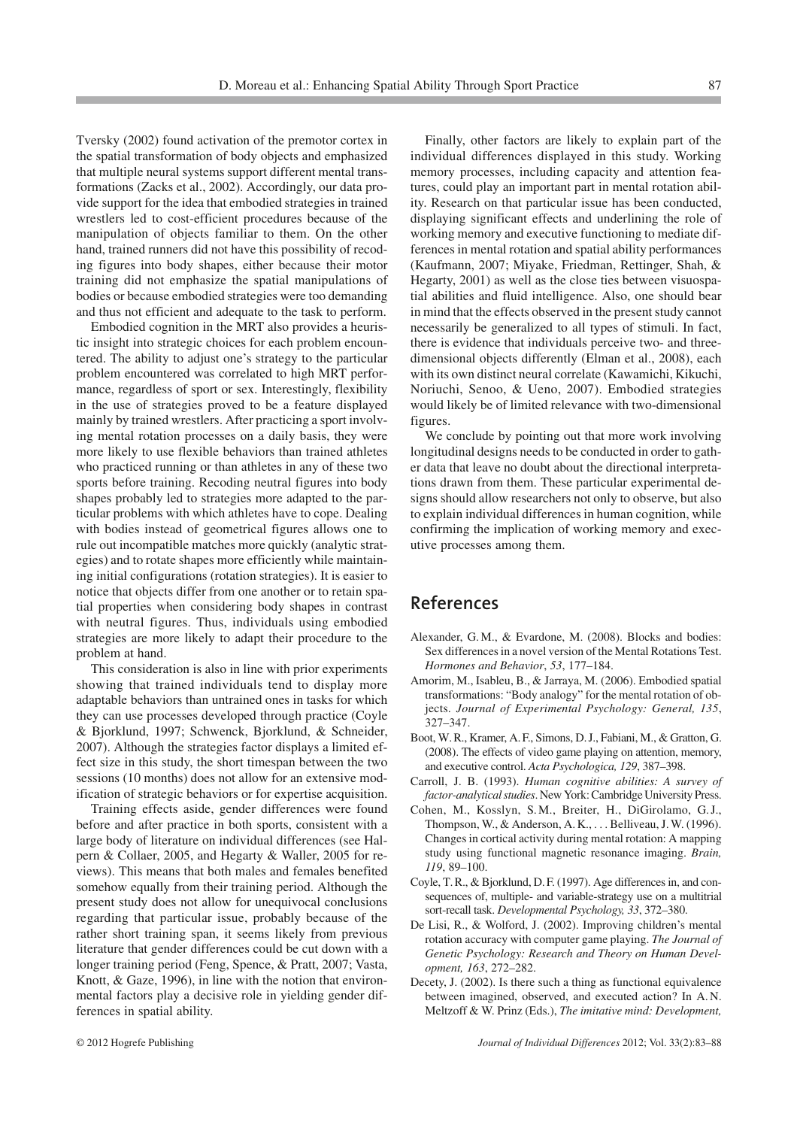Tversky (2002) found activation of the premotor cortex in the spatial transformation of body objects and emphasized that multiple neural systems support different mental transformations (Zacks et al., 2002). Accordingly, our data provide support for the idea that embodied strategies in trained wrestlers led to cost-efficient procedures because of the manipulation of objects familiar to them. On the other hand, trained runners did not have this possibility of recoding figures into body shapes, either because their motor training did not emphasize the spatial manipulations of bodies or because embodied strategies were too demanding and thus not efficient and adequate to the task to perform.

Embodied cognition in the MRT also provides a heuristic insight into strategic choices for each problem encountered. The ability to adjust one's strategy to the particular problem encountered was correlated to high MRT performance, regardless of sport or sex. Interestingly, flexibility in the use of strategies proved to be a feature displayed mainly by trained wrestlers. After practicing a sport involving mental rotation processes on a daily basis, they were more likely to use flexible behaviors than trained athletes who practiced running or than athletes in any of these two sports before training. Recoding neutral figures into body shapes probably led to strategies more adapted to the particular problems with which athletes have to cope. Dealing with bodies instead of geometrical figures allows one to rule out incompatible matches more quickly (analytic strategies) and to rotate shapes more efficiently while maintaining initial configurations (rotation strategies). It is easier to notice that objects differ from one another or to retain spatial properties when considering body shapes in contrast with neutral figures. Thus, individuals using embodied strategies are more likely to adapt their procedure to the problem at hand.

This consideration is also in line with prior experiments showing that trained individuals tend to display more adaptable behaviors than untrained ones in tasks for which they can use processes developed through practice (Coyle & Bjorklund, 1997; Schwenck, Bjorklund, & Schneider, 2007). Although the strategies factor displays a limited effect size in this study, the short timespan between the two sessions (10 months) does not allow for an extensive modification of strategic behaviors or for expertise acquisition.

Training effects aside, gender differences were found before and after practice in both sports, consistent with a large body of literature on individual differences (see Halpern & Collaer, 2005, and Hegarty & Waller, 2005 for reviews). This means that both males and females benefited somehow equally from their training period. Although the present study does not allow for unequivocal conclusions regarding that particular issue, probably because of the rather short training span, it seems likely from previous literature that gender differences could be cut down with a longer training period (Feng, Spence, & Pratt, 2007; Vasta, Knott, & Gaze, 1996), in line with the notion that environmental factors play a decisive role in yielding gender differences in spatial ability.

Finally, other factors are likely to explain part of the individual differences displayed in this study. Working memory processes, including capacity and attention features, could play an important part in mental rotation ability. Research on that particular issue has been conducted, displaying significant effects and underlining the role of working memory and executive functioning to mediate differences in mental rotation and spatial ability performances (Kaufmann, 2007; Miyake, Friedman, Rettinger, Shah, & Hegarty, 2001) as well as the close ties between visuospatial abilities and fluid intelligence. Also, one should bear in mind that the effects observed in the present study cannot necessarily be generalized to all types of stimuli. In fact, there is evidence that individuals perceive two- and threedimensional objects differently (Elman et al., 2008), each with its own distinct neural correlate (Kawamichi, Kikuchi, Noriuchi, Senoo, & Ueno, 2007). Embodied strategies would likely be of limited relevance with two-dimensional figures.

We conclude by pointing out that more work involving longitudinal designs needs to be conducted in order to gather data that leave no doubt about the directional interpretations drawn from them. These particular experimental designs should allow researchers not only to observe, but also to explain individual differences in human cognition, while confirming the implication of working memory and executive processes among them.

## **References**

- Alexander, G. M., & Evardone, M. (2008). Blocks and bodies: Sex differences in a novel version of the Mental Rotations Test. *Hormones and Behavior*, *53*, 177–184.
- Amorim, M., Isableu, B., & Jarraya, M. (2006). Embodied spatial transformations: "Body analogy" for the mental rotation of objects. *Journal of Experimental Psychology: General, 135*, 327–347.
- Boot, W. R., Kramer, A. F., Simons, D. J., Fabiani, M., & Gratton, G. (2008). The effects of video game playing on attention, memory, and executive control. *Acta Psychologica, 129*, 387–398.
- Carroll, J. B. (1993). *Human cognitive abilities: A survey of factor-analytical studies*. New York: Cambridge University Press.
- Cohen, M., Kosslyn, S. M., Breiter, H., DiGirolamo, G. J., Thompson, W., & Anderson, A. K., . . . Belliveau, J. W. (1996). Changes in cortical activity during mental rotation: A mapping study using functional magnetic resonance imaging. *Brain, 119*, 89–100.
- Coyle, T. R., & Bjorklund, D. F. (1997). Age differences in, and consequences of, multiple- and variable-strategy use on a multitrial sort-recall task. *Developmental Psychology, 33*, 372–380.
- De Lisi, R., & Wolford, J. (2002). Improving children's mental rotation accuracy with computer game playing. *The Journal of Genetic Psychology: Research and Theory on Human Development, 163*, 272–282.
- Decety, J. (2002). Is there such a thing as functional equivalence between imagined, observed, and executed action? In A. N. Meltzoff & W. Prinz (Eds.), *The imitative mind: Development,*